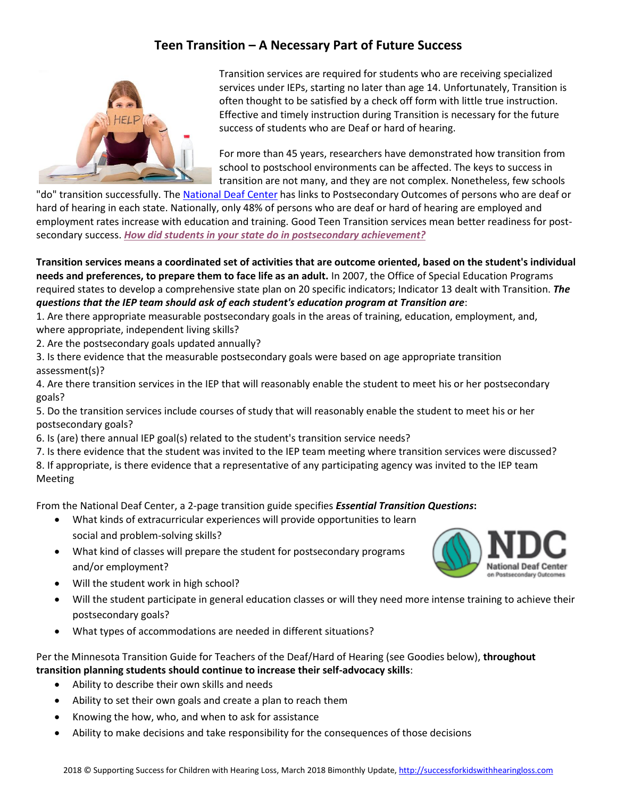## **Teen Transition – A Necessary Part of Future Success**



Transition services are required for students who are receiving specialized services under IEPs, starting no later than age 14. Unfortunately, Transition is often thought to be satisfied by a check off form with little true instruction. Effective and timely instruction during Transition is necessary for the future success of students who are Deaf or hard of hearing.

For more than 45 years, researchers have demonstrated how transition from school to postschool environments can be affected. The keys to success in transition are not many, and they are not complex. Nonetheless, few schools

"do" transition successfully. Th[e National Deaf Center](https://www.nationaldeafcenter.org/) has links to Postsecondary Outcomes of persons who are deaf or hard of hearing in each state. Nationally, only 48% of persons who are deaf or hard of hearing are employed and employment rates increase with education and training. Good Teen Transition services mean better readiness for postsecondary success. *[How did students in your state do](https://www.nationaldeafcenter.org/resource/state-reports-postsecondary-achievement-deaf-people) in postsecondary achievement?*

**Transition services means a coordinated set of activities that are outcome oriented, based on the student's individual needs and preferences, to prepare them to face life as an adult.** In 2007, the Office of Special Education Programs required states to develop a comprehensive state plan on 20 specific indicators; Indicator 13 dealt with Transition. *The questions that the IEP team should ask of each student's education program at Transition are*:

- 1. Are there appropriate measurable postsecondary goals in the areas of training, education, employment, and, where appropriate, independent living skills?
- 2. Are the postsecondary goals updated annually?
- 3. Is there evidence that the measurable postsecondary goals were based on age appropriate transition assessment(s)?

4. Are there transition services in the IEP that will reasonably enable the student to meet his or her postsecondary goals?

5. Do the transition services include courses of study that will reasonably enable the student to meet his or her postsecondary goals?

6. Is (are) there annual IEP goal(s) related to the student's transition service needs?

7. Is there evidence that the student was invited to the IEP team meeting where transition services were discussed? 8. If appropriate, is there evidence that a representative of any participating agency was invited to the IEP team Meeting

From the National Deaf Center, a 2-page transition guide specifies *Essential Transition Questions***:**

- What kinds of extracurricular experiences will provide opportunities to learn social and problem-solving skills?
- What kind of classes will prepare the student for postsecondary programs and/or employment?
- Will the student work in high school?
- Will the student participate in general education classes or will they need more intense training to achieve their postsecondary goals?
- What types of accommodations are needed in different situations?

Per the Minnesota Transition Guide for Teachers of the Deaf/Hard of Hearing (see Goodies below), **throughout transition planning students should continue to increase their self-advocacy skills**:

- Ability to describe their own skills and needs
- Ability to set their own goals and create a plan to reach them
- Knowing the how, who, and when to ask for assistance
- Ability to make decisions and take responsibility for the consequences of those decisions

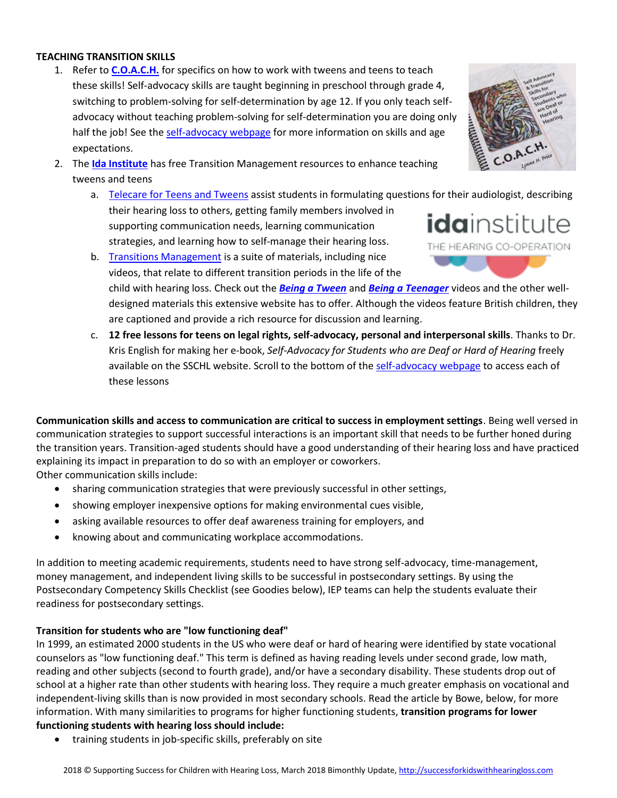## **TEACHING TRANSITION SKILLS**

- 1. Refer to **[C.O.A.C.H.](https://successforkidswithhearingloss.com/product/c-o-a-c-h-self-advocacy-transition-skills-for-secondary-students-who-are-deaf-or-hard-of-hearing/)** for specifics on how to work with tweens and teens to teach these skills! Self-advocacy skills are taught beginning in preschool through grade 4, switching to problem-solving for self-determination by age 12. If you only teach selfadvocacy without teaching problem-solving for self-determination you are doing only half the job! See the [self-advocacy webpage](https://successforkidswithhearingloss.com/for-professionals/self-advocacy-skills-for-students-with-hearing-loss/) for more information on skills and age expectations.
- 2. The **[Ida Institute](https://idainstitute.com/toolbox/)** has free Transition Management resources to enhance teaching tweens and teens
	- a. [Telecare for Teens and Tweens](https://idainstitute.com/toolbox/telecare_for_teens_and_tweens/) assist students in formulating questions for their audiologist, describing their hearing loss to others, getting family members involved in supporting communication needs, learning communication strategies, and learning how to self-manage their hearing loss.
	- b. [Transitions Management](https://idainstitute.com/toolbox/transitions_management/get_started/) is a suite of materials, including nice videos, that relate to different transition periods in the life of the child with hearing loss. Check out the *[Being a Tween](https://idainstitute.com/toolbox/transitions_management/get_started/9_12_years/)* and *Being [a Teenager](https://idainstitute.com/toolbox/transitions_management/get_started/12_18_years/)* videos and the other welldesigned materials this extensive website has to offer. Although the videos feature British children, they are captioned and provide a rich resource for discussion and learning.
	- c. **12 free lessons for teens on legal rights, self-advocacy, personal and interpersonal skills**. Thanks to Dr. Kris English for making her e-book, *Self-Advocacy for Students who are Deaf or Hard of Hearing* freely available on the SSCHL website. Scroll to the bottom of the [self-advocacy webpage](https://successforkidswithhearingloss.com/for-professionals/self-advocacy-skills-for-students-with-hearing-loss/) to access each of these lessons

**Communication skills and access to communication are critical to success in employment settings**. Being well versed in communication strategies to support successful interactions is an important skill that needs to be further honed during the transition years. Transition-aged students should have a good understanding of their hearing loss and have practiced explaining its impact in preparation to do so with an employer or coworkers. Other communication skills include:

- sharing communication strategies that were previously successful in other settings,
- showing employer inexpensive options for making environmental cues visible,
- asking available resources to offer deaf awareness training for employers, and
- knowing about and communicating workplace accommodations.

In addition to meeting academic requirements, students need to have strong self-advocacy, time-management, money management, and independent living skills to be successful in postsecondary settings. By using the Postsecondary Competency Skills Checklist (see Goodies below), IEP teams can help the students evaluate their readiness for postsecondary settings.

## **Transition for students who are "low functioning deaf"**

In 1999, an estimated 2000 students in the US who were deaf or hard of hearing were identified by state vocational counselors as "low functioning deaf." This term is defined as having reading levels under second grade, low math, reading and other subjects (second to fourth grade), and/or have a secondary disability. These students drop out of school at a higher rate than other students with hearing loss. They require a much greater emphasis on vocational and independent-living skills than is now provided in most secondary schools. Read the article by Bowe, below, for more information. With many similarities to programs for higher functioning students, **transition programs for lower functioning students with hearing loss should include:**

• training students in job-specific skills, preferably on site



idainstitute THE HEARING CO-OPERATION